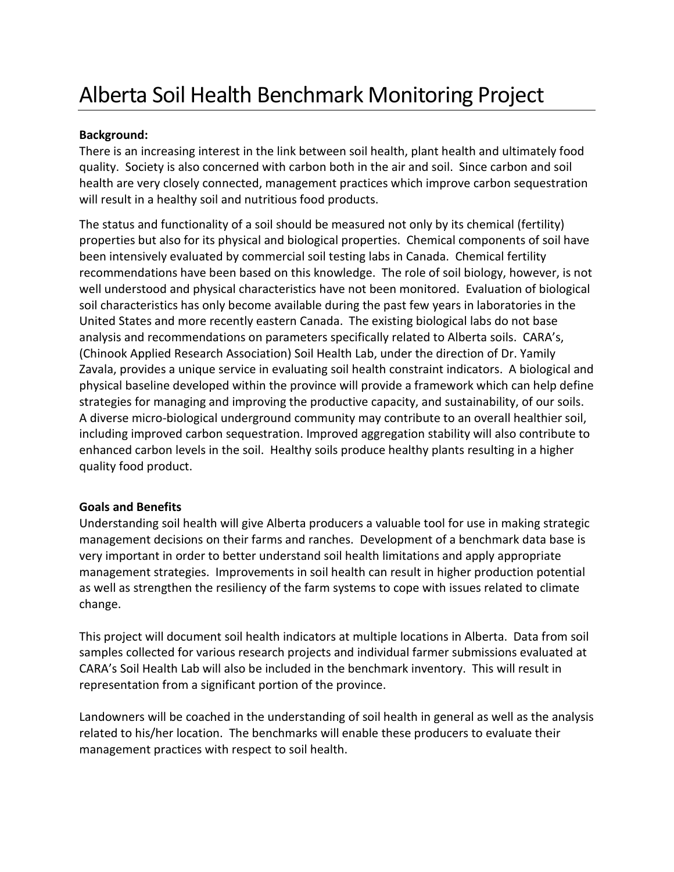## Alberta Soil Health Benchmark Monitoring Project

## **Background:**

There is an increasing interest in the link between soil health, plant health and ultimately food quality. Society is also concerned with carbon both in the air and soil. Since carbon and soil health are very closely connected, management practices which improve carbon sequestration will result in a healthy soil and nutritious food products.

The status and functionality of a soil should be measured not only by its chemical (fertility) properties but also for its physical and biological properties. Chemical components of soil have been intensively evaluated by commercial soil testing labs in Canada. Chemical fertility recommendations have been based on this knowledge. The role of soil biology, however, is not well understood and physical characteristics have not been monitored. Evaluation of biological soil characteristics has only become available during the past few years in laboratories in the United States and more recently eastern Canada. The existing biological labs do not base analysis and recommendations on parameters specifically related to Alberta soils. CARA's, (Chinook Applied Research Association) Soil Health Lab, under the direction of Dr. Yamily Zavala, provides a unique service in evaluating soil health constraint indicators. A biological and physical baseline developed within the province will provide a framework which can help define strategies for managing and improving the productive capacity, and sustainability, of our soils. A diverse micro-biological underground community may contribute to an overall healthier soil, including improved carbon sequestration. Improved aggregation stability will also contribute to enhanced carbon levels in the soil. Healthy soils produce healthy plants resulting in a higher quality food product.

## **Goals and Benefits**

Understanding soil health will give Alberta producers a valuable tool for use in making strategic management decisions on their farms and ranches. Development of a benchmark data base is very important in order to better understand soil health limitations and apply appropriate management strategies. Improvements in soil health can result in higher production potential as well as strengthen the resiliency of the farm systems to cope with issues related to climate change.

This project will document soil health indicators at multiple locations in Alberta. Data from soil samples collected for various research projects and individual farmer submissions evaluated at CARA's Soil Health Lab will also be included in the benchmark inventory. This will result in representation from a significant portion of the province.

Landowners will be coached in the understanding of soil health in general as well as the analysis related to his/her location. The benchmarks will enable these producers to evaluate their management practices with respect to soil health.